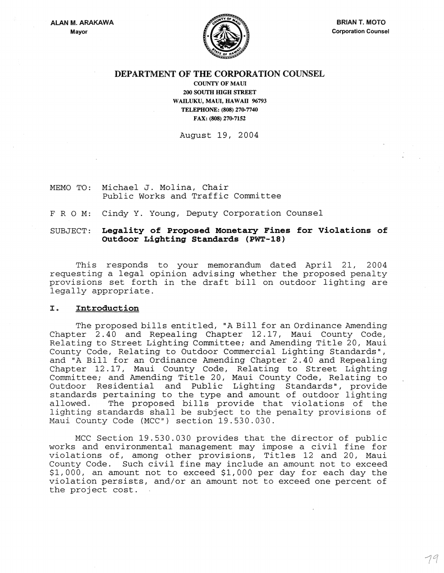

# DEPARTMENT OF THE CORPORATION COUNSEL

COUNTY OF MAUL 200 SOUTH HIGH STREET WAILUKU, MAUI, HAWAII 96793 TELEPHONE: (808) 270-7740 FAX: (808) 270-7152

August 19, 2004

MEMO TO: Michael J. Molina, Chair Public Works and Traffic Committee

FRO M: Cindy Y. Young, Deputy Corporation Counsel

## SUBJECT: Legality of Proposed Monetary Fines for Violations of Outdoor Lighting Standards (PWT-18)

This responds to your memorandum dated April 21, 2004 requesting a legal opinion advising whether the proposed penalty provisions set forth in the draft bill on outdoor lighting are legally appropriate.

### I. Introduction

The proposed bills entitled, "A Bill for an Ordinance Amending Chapter 2.40 and Repealing Chapter 12.17, Maui County Code, Relating to Street Lighting Committee; and Amending Title 20, Maui County Code, Relating to Outdoor Commercial Lighting Standards", and "A Bill for an Ordinance Amending Chapter 2.40 and Repealing Chapter 12.17, Maui County Code, Relating to Street Lighting Committee; and Amending Title 20, Maui County Code, Relating to Outdoor Residential and Public Lighting Standards", provide standards pertaining to the type and amount of outdoor lighting<br>allowed. The proposed bills provide that violations of the The proposed bills provide that violations of the lighting standards shall be subject to the penalty provisions of Maui County Code (MCC") section 19.530.030.

MCC Section 19.530.030 provides that the director of public works and environmental management may impose a civil fine for violations of, among other provisions, Titles 12 and 20, Maui County Code. Such civil fine may include an amount not to exceed \$1,000, an amount not to exceed \$1,000 per day for each day the violation persists, and/or an amount not to exceed one percent of the project cost.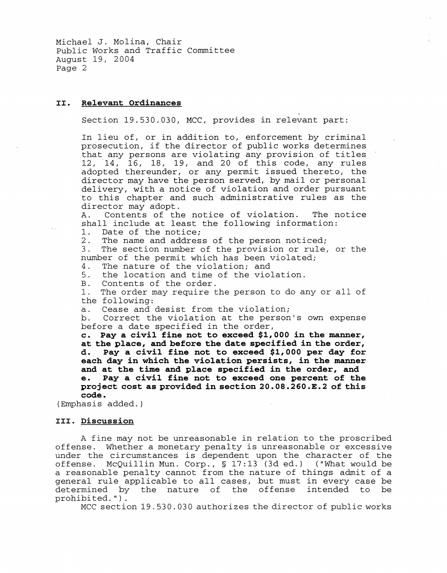Michael J. Molina, Chair Public Works and Traffic Committee August 19, 2004 Page 2

### II. Relevant Ordinances

Section 19.530.030, MCC, provides in relevant part:

In lieu of, or in addition to, enforcement by criminal prosecution, if the director of public works determines that any persons are violating any provision of titles 12, 14, 16, 18, 19, and 20 of this code, any rules adopted thereunder, or any permit issued thereto, the director may have the person served, by mail or personal delivery, with a notice of violation and order pursuant to this chapter and such administrative rules as the director may adopt.<br>A. Contents of th

Contents of the notice of violation. The notice shall include at least the following information:<br>1. Date of the notice:

1. Date of the notice;<br>2. The name and addres

2. The name and address of the person noticed;<br>3. The section number of the provision or rule.

The section number of the provision or rule, or the number of the permit which has been violated;<br>4. The nature of the violation: and

4. The nature of the violation; and<br>5. the location and time of the viol

5. the location and time of the violation.<br>B. Contents of the order.

B. Contents of the order.<br>1. The order may require t

The order may require the person to do any or all of the following:

a. Cease and desist from the violation;<br>b. Correct the violation at the person

Correct the violation at the person's own expense before a date specified in the order,

c. Pay a civil fine not to exceed \$1,000 in the manner, at the place, and before the date specified in the order, d. Pay a civil fine not to exceed \$1,000 per day for each day in which the violation persists, in the manner and at the time and place specified in the order, and e. Pay a civil fine not to exceed one percent of the Pay a civil fine not to exceed one percent of the project cost as provided in section 20.0S.260.E.2 of this code.

(Emphasis added.)

#### III. Discussion

A fine may not be unreasonable in relation to the proscribed offense. Whether a monetary penalty is unreasonable or excessive under the circumstances is dependent upon the character of the offense. McQuillin Mun. Corp., § 17:13 (3d ed.) ("What would be a reasonable penalty cannot from the nature of things admit of a general rule applicable to all cases, but must in every case be<br>determined by the nature of the offense intended to be determined by the nature of the offense intended prohibited.") .

MCC section 19.530.030 authorizes the director of public works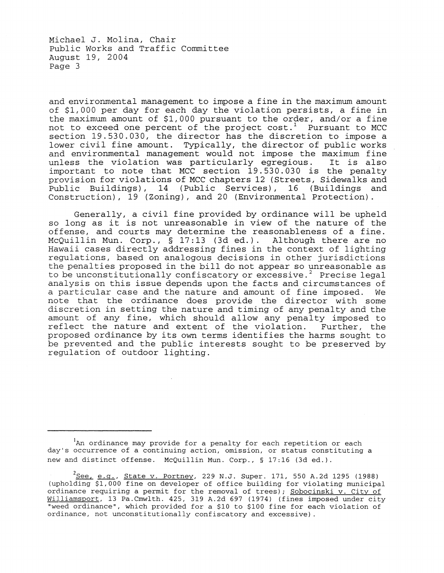Michael J. Molina, Chair Public Works and Traffic Committee August 19, 2004 Page 3

and environmental management to impose a fine in the maximum amount of \$1,000 per day for each day the violation persists, a fine in the maximum amount of \$1,000 pursuant to the order, and/or a fine not to exceed one percent of the project  $cost<sup>1</sup>$  Pursuant to MCC section 19.530.030, the director has the discretion to impose a lower civil fine amount. Typically, the director of public works and environmental management would not impose the maximum fine<br>unless the violation was particularly egregious. It is also unless the violation was particularly egregious. important to note that MCC section  $19.530.030$  is the penalty provision for violations of MCC chapters 12 (Streets, Sidewalks and Public Buildings), 14 (Public Services), 16 (Buildings and Construction), 19 (Zoning), and 20 (Environmental Protection).

Generally, a civil fine provided by ordinance will be upheld so long as it is not unreasonable in view of the nature of the offense, and courts may determine the reasonableness of a fine. McQuillin Mun. Corp., § 17:13 (3d ed.). Although there are no Hawaii cases directly addressing fines in the context of lighting regulations, based on analogous decisions in other jurisdictions the penalties proposed in the bill do not appear so unreasonable as to be unconstitutionally confiscatory or excessive.<sup>2</sup> Precise legal analysis on this issue depends upon the facts and circumstances of a particular case and the nature and amount of fine imposed. We note that the ordinance does provide the director with some discretion in setting the nature and timing of any penalty and the amount of any fine, which should allow any penalty imposed to reflect the nature and extent of the violation. Further, the proposed ordinance by its own terms identifies the harms sought to be prevented and the public interests sought to be preserved by regulation of outdoor lighting.

<sup>1</sup>An ordinance may provide for a penalty for each repetition or each day's occurrence of a continuing action, omission, or status constituting a new and distinct offense. McQuillin Mun. Corp., § 17:16 (3d ed.).

 $^2$ <u>See, e.g., State v. Portney</u>, 229 N.J. Super. 171, 550 A.2d 1295 (1988) (upholding \$1,000 fine on developer of office building for violating municipal ordinance requiring a permit for the removal of trees); Sobocinski v. City of Williamsport, 13 Pa.Cmwlth. 425, 319 A.2d 697 (1974) (fines imposed under city "weed ordinance", which provided for a \$10 to \$100 fine for each violation of ordinance, not unconstitutionally confiscatory and excessive) .